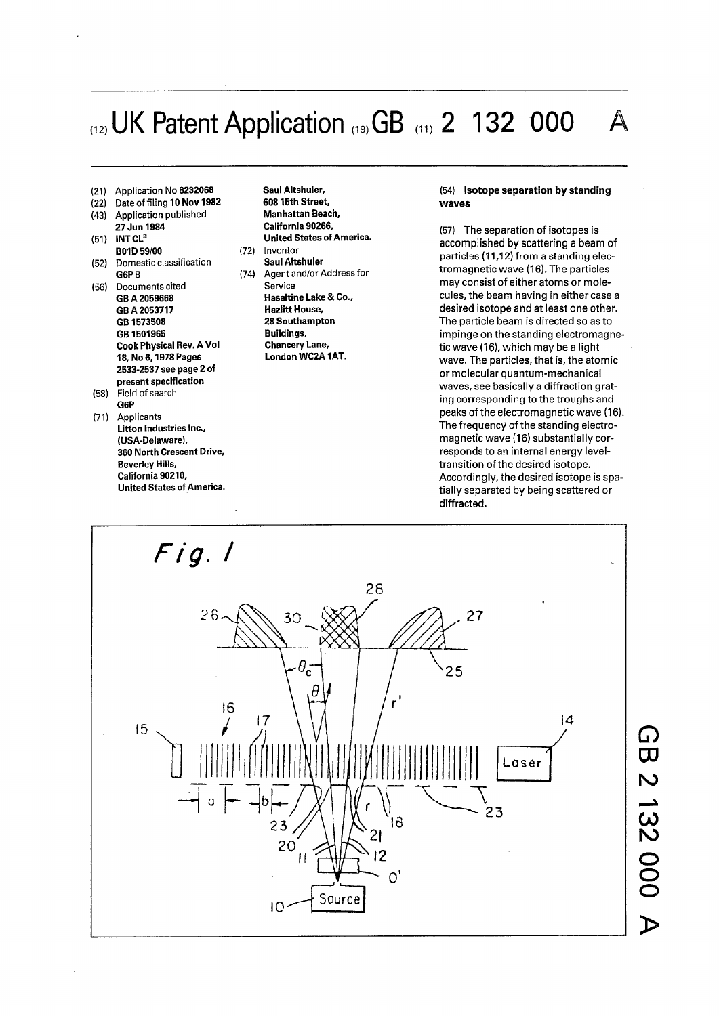## $_{(12)}$  UK Patent Application  $_{(19)}GB$   $_{(11)}$  2 132 000

- 
- 
- (43) Application published<br>**27 Jun 1984**
- 
- (52) Domestic classification<br>**G6P** B (74)
- (56) Documents cited<br>GB A 2059668 **GBA 2053717 Hazlitt House, GB 1573508 28 Southampton**  GB 1501965<br>**Cook Physical Rev. A Vol** Chancery Lane, **Cook Physical Rev. A Vol Chancery Lane,<br>18, No 6, 1978 Pages Chancery London WC2A 1AT.** 18, No 6, 1978 Pages **2533-2537 see page 2 of present specification**
- (58) Field of search **G6P**  (71) Applicants
- **Litton Industries Inc., (USA-Delaware), 360 North Crescent Drive, Beverley Hills, California 90210, United States of America.**

(21) Application No 8232068 **Saul Altshuler,**  (22) Date of filing **10 Nov 1982 60815th Street, 27 Jun 1984 California 90266,**  (51) **INT CL<sup>3</sup>United States of America.** 

**B01D 59/00** (72) Inventor<br>Domestic classification **Saul Altshuler** Agent and/or Address for<br>Service **Haseltine Lake & Co.,<br>Hazlitt House,** 

## (54) **Isotope separation** by **standing waves**

(57) The separation of isotopes is accomplished by scattering a beam of particles (11,12) from a standing electromagnetic wave (16). The particles may consist of either atoms or molecules, the beam having in either case a desired isotope and at least one other. The particle beam is directed so as to impinge on the standing electromagnetic wave (16), which may be a light wave. The particles, that is, the atomic or molecular quantum-mechanical waves, see basically a diffraction grating corresponding to the troughs and peaks of the electromagnetic wave (16). The frequency of the standing electromagnetic wave (16) substantially corresponds to an internal energy leveltransition of the desired isotope. Accordingly, the desired isotope is spatially separated by being scattered or diffracted.

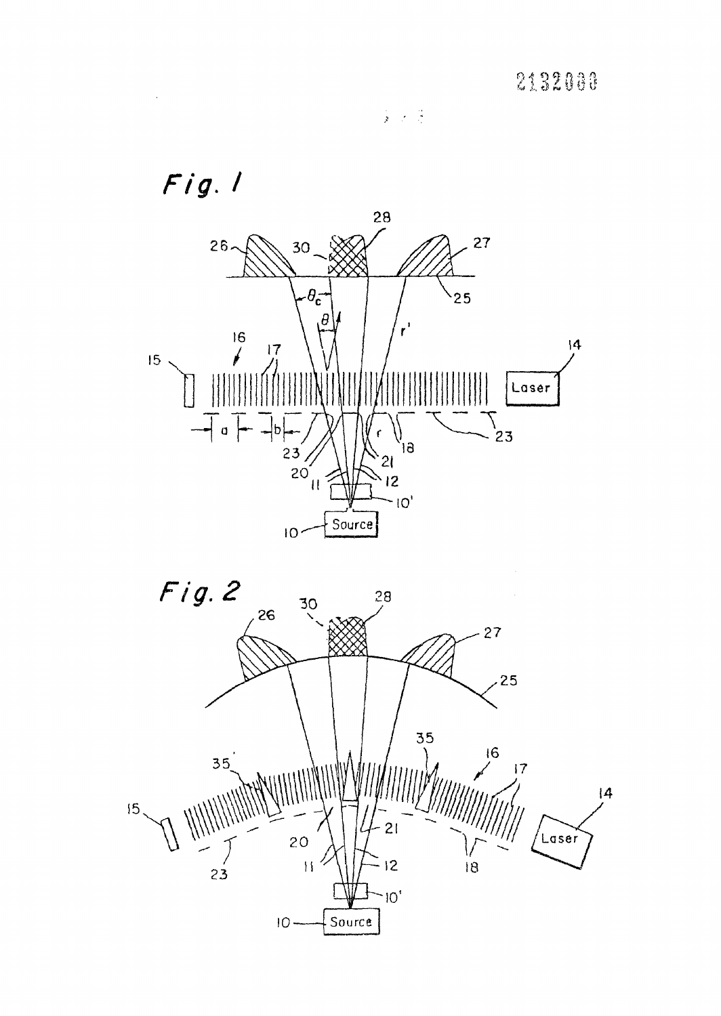

 $\frac{1}{\mathbf{y}} = \frac{1}{\mathbf{y}} \times \frac{1}{\mathbf{y}}$ 

 $\ddot{\phantom{a}}$ 

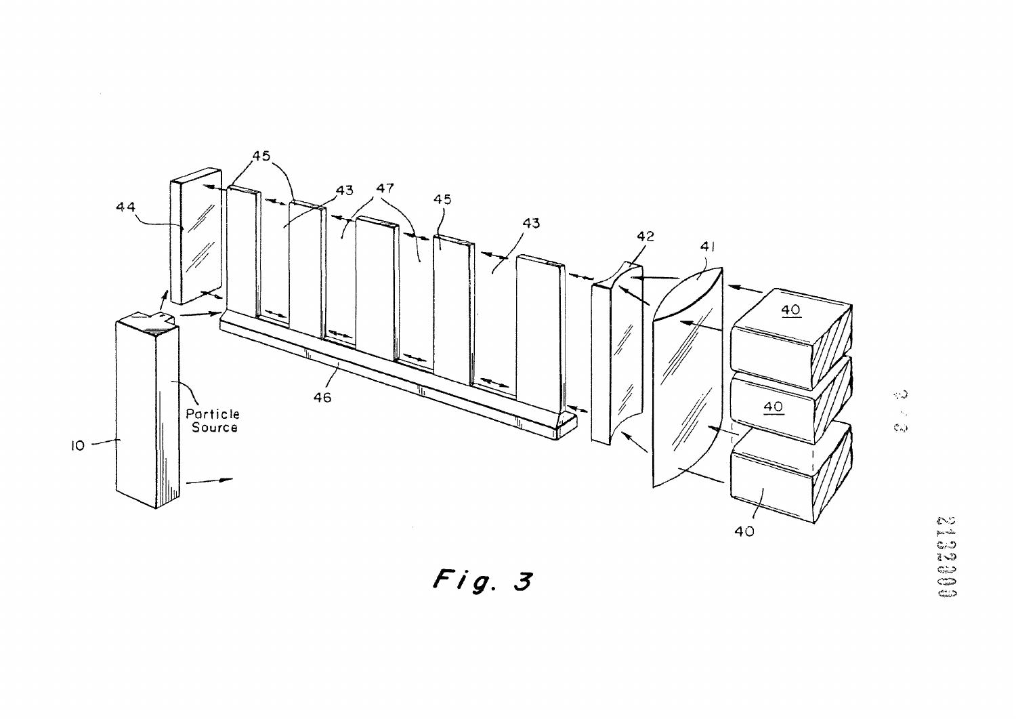

 $\sim 10^{-10}$ 

 $\sum_{k=1}^{N} \mu_k$ 

 $Fig. 3$ 

0002000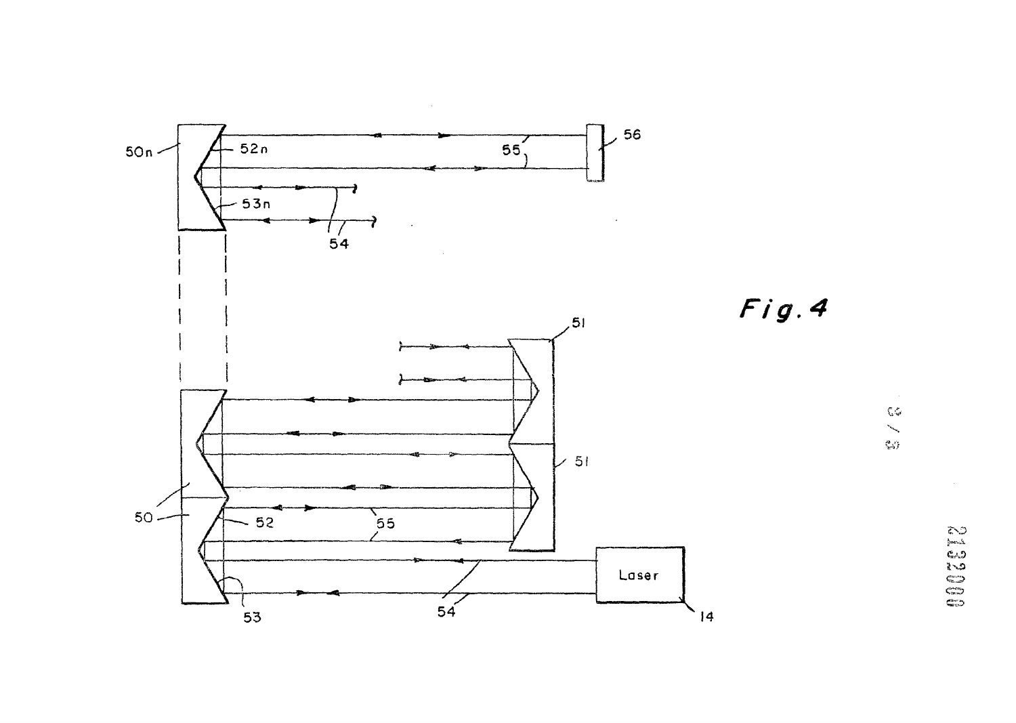

 $\alpha$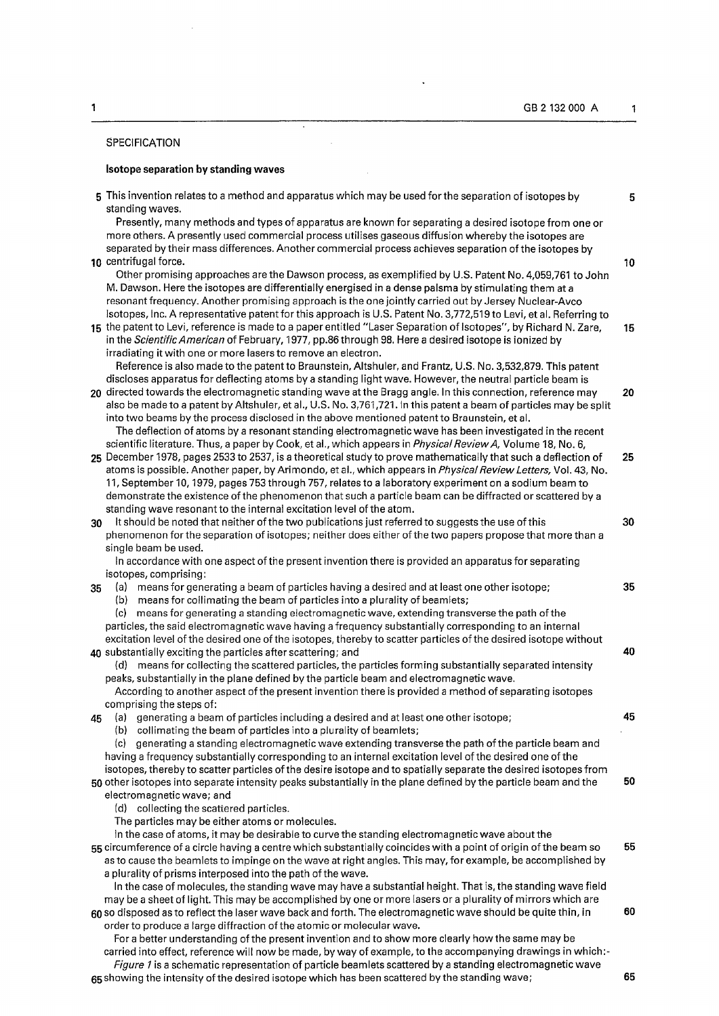## SPECIFICATION

## **Isotope separation by standing waves**

 $\ddot{\phantom{1}}$ 

 $\bar{z}$ 

 $\bar{\mathcal{A}}$ 

 $\cdot$ 

|    | 5 This invention relates to a method and apparatus which may be used for the separation of isotopes by<br>standing waves.                                                                                                                                                                                                                                                                                                                                                                                                                                                                                                            | 5  |
|----|--------------------------------------------------------------------------------------------------------------------------------------------------------------------------------------------------------------------------------------------------------------------------------------------------------------------------------------------------------------------------------------------------------------------------------------------------------------------------------------------------------------------------------------------------------------------------------------------------------------------------------------|----|
|    | Presently, many methods and types of apparatus are known for separating a desired isotope from one or<br>more others. A presently used commercial process utilises gaseous diffusion whereby the isotopes are<br>separated by their mass differences. Another commercial process achieves separation of the isotopes by<br>10 centrifugal force.                                                                                                                                                                                                                                                                                     | 10 |
|    | Other promising approaches are the Dawson process, as exemplified by U.S. Patent No. 4,059,761 to John<br>M. Dawson. Here the isotopes are differentially energised in a dense palsma by stimulating them at a<br>resonant frequency. Another promising approach is the one jointly carried out by Jersey Nuclear-Avco                                                                                                                                                                                                                                                                                                               |    |
|    | Isotopes, Inc. A representative patent for this approach is U.S. Patent No. 3,772,519 to Levi, et al. Referring to<br>15 the patent to Levi, reference is made to a paper entitled "Laser Separation of Isotopes", by Richard N. Zare,<br>in the Scientific American of February, 1977, pp.86 through 98. Here a desired isotope is ionized by<br>irradiating it with one or more lasers to remove an electron.                                                                                                                                                                                                                      | 15 |
|    | Reference is also made to the patent to Braunstein, Altshuler, and Frantz, U.S. No. 3,532,879. This patent<br>discloses apparatus for deflecting atoms by a standing light wave. However, the neutral particle beam is<br>20 directed towards the electromagnetic standing wave at the Bragg angle. In this connection, reference may<br>also be made to a patent by Altshuler, et al., U.S. No. 3,761,721. In this patent a beam of particles may be split<br>into two beams by the process disclosed in the above mentioned patent to Braunstein, et al.                                                                           | 20 |
|    | The deflection of atoms by a resonant standing electromagnetic wave has been investigated in the recent<br>scientific literature. Thus, a paper by Cook, et al., which appears in <i>Physical Review A</i> , Volume 18, No. 6,<br>25 December 1978, pages 2533 to 2537, is a theoretical study to prove mathematically that such a deflection of<br>atoms is possible. Another paper, by Arimondo, et al., which appears in Physical Review Letters, Vol. 43, No.<br>11, September 10, 1979, pages 753 through 757, relates to a laboratory experiment on a sodium beam to                                                           | 25 |
| 30 | demonstrate the existence of the phenomenon that such a particle beam can be diffracted or scattered by a<br>standing wave resonant to the internal excitation level of the atom.<br>It should be noted that neither of the two publications just referred to suggests the use of this<br>phenomenon for the separation of isotopes; neither does either of the two papers propose that more than a<br>single beam be used.                                                                                                                                                                                                          | 30 |
| 35 | In accordance with one aspect of the present invention there is provided an apparatus for separating<br>isotopes, comprising:<br>(a) means for generating a beam of particles having a desired and at least one other isotope;<br>means for collimating the beam of particles into a plurality of beamlets;<br>(b)<br>means for generating a standing electromagnetic wave, extending transverse the path of the<br>(c)                                                                                                                                                                                                              | 35 |
|    | particles, the said electromagnetic wave having a frequency substantially corresponding to an internal<br>excitation level of the desired one of the isotopes, thereby to scatter particles of the desired isotope without<br>40 substantially exciting the particles after scattering; and<br>means for collecting the scattered particles, the particles forming substantially separated intensity<br>(d)<br>peaks, substantially in the plane defined by the particle beam and electromagnetic wave.                                                                                                                              | 40 |
| 45 | According to another aspect of the present invention there is provided a method of separating isotopes<br>comprising the steps of:<br>(a) generating a beam of particles including a desired and at least one other isotope;<br>(b) collimating the beam of particles into a plurality of beamlets;                                                                                                                                                                                                                                                                                                                                  | 45 |
|    | generating a standing electromagnetic wave extending transverse the path of the particle beam and<br>(c)<br>having a frequency substantially corresponding to an internal excitation level of the desired one of the<br>isotopes, thereby to scatter particles of the desire isotope and to spatially separate the desired isotopes from                                                                                                                                                                                                                                                                                             |    |
|    | 50 other isotopes into separate intensity peaks substantially in the plane defined by the particle beam and the<br>electromagnetic wave; and<br>(d) collecting the scattered particles.<br>The particles may be either atoms or molecules.                                                                                                                                                                                                                                                                                                                                                                                           | 50 |
|    | In the case of atoms, it may be desirable to curve the standing electromagnetic wave about the<br>55 circumference of a circle having a centre which substantially coincides with a point of origin of the beam so<br>as to cause the beamlets to impinge on the wave at right angles. This may, for example, be accomplished by<br>a plurality of prisms interposed into the path of the wave.<br>In the case of molecules, the standing wave may have a substantial height. That is, the standing wave field                                                                                                                       | 55 |
|    | may be a sheet of light. This may be accomplished by one or more lasers or a plurality of mirrors which are<br>60 so disposed as to reflect the laser wave back and forth. The electromagnetic wave should be quite thin, in<br>order to produce a large diffraction of the atomic or molecular wave.<br>For a better understanding of the present invention and to show more clearly how the same may be<br>carried into effect, reference will now be made, by way of example, to the accompanying drawings in which:-<br>Figure 1 is a schematic representation of particle beamlets scattered by a standing electromagnetic wave | 60 |

 $65\,$ showing the intensity of the desired isotope which has been scattered by the standing wave;  $\hphantom{\mu_{\textrm{0}}\phantom{\mu_{\textrm{0}}\phantom{\mu_{\textrm{0}}}}$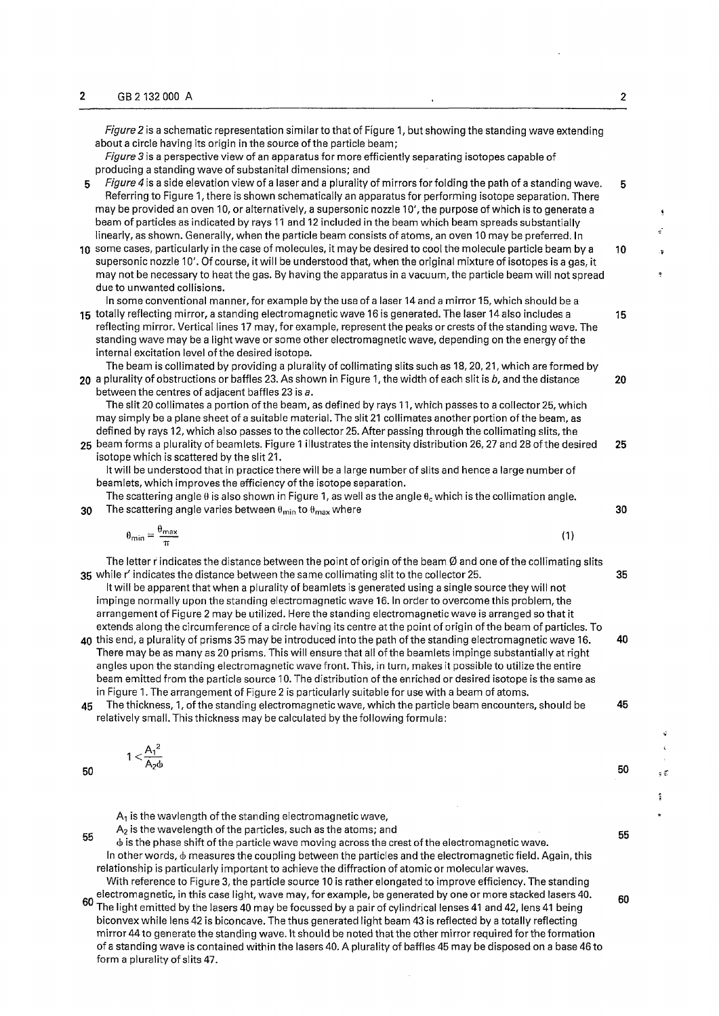*Figure2* is a schematic representation similar to that of Figure 1, but showing the standing wave extending about a circle having its origin in the source of the particle beam;

- *Figure* 3 is a perspective view of an apparatus for more efficiently separating isotopes capable of producing a standing wave of substanital dimensions; and
- 5 *Figure 4* is a side elevation view of a laser and a plurality of mirrors for folding the path of a standing wave. 5 Referring to Figure 1, there is shown schematically an apparatus for performing isotope separation. There may be provided an oven 10, or alternatively, a supersonic nozzle 10', the purpose of which is to generate a beam of particles as indicated by rays 11 and 12 included in the beam which beam spreads substantially linearly, as shown. Generally, when the particle beam consists of atoms, an oven 10 may be preferred. In
- 10 some cases, particularly in the case of molecules, it may be desired to cool the molecule particle beam by a 10 supersonic nozzle 10'. Of course, it will be understood that, when the original mixture of isotopes is a gas, it may not be necessary to heat the gas. By having the apparatus in a vacuum, the particle beam will not spread due to unwanted collisions.

In some conventional manner, for example by the use of a laser 14 and a mirror 15, which should be a 15 totally reflecting mirror, a standing electromagnetic wave 16 is generated. The laser 14 also includes a 15

reflecting mirror. Vertical lines 17 may, for example, represent the peaks or crests of the standing wave. The standing wave may be a light wave or some other electromagnetic wave, depending on the energy of the internal excitation level of the desired isotope.

The beam iscollimated by providing a plurality of collimating slits such as 18,20,21, which are formed by **20** a plurality of obstructions or baffles 23. As shown in Figure 1, the width of each slit is *b,* and the distance **20** 

between the centres of adjacent baffles 23 is *a.* 

The slit 20 collimates a portion of the beam, as defined by rays 11, which passes to a collector 25, which may simply be a plane sheet of a suitable material. The slit 21 collimates another portion of the beam, as defined by rays 12, which also passes to the collector 25. After passing through the collimating slits, the 25 beam forms a plurality of beamlets. Figure 1 illustrates the intensity distribution 26,27 and 28 of the desired 25

isotope which is scattered by the slit 21.

It will be understood that in practice there will be a large number of slits and hence a large number of beamlets, which improves the efficiency of the isotope separation.

The scattering angle  $\theta$  is also shown in Figure 1, as well as the angle  $\theta_c$  which is the collimation angle. 30 The scattering angle varies between  $\theta_{min}$  to  $\theta_{max}$  where 30  $\theta$  and 30  $\theta$  and 30  $\theta$  and 30  $\theta$  and 30  $\theta$  and 30  $\theta$  and 30  $\theta$  and 30  $\theta$  and 30  $\theta$  and 30  $\theta$  and 30  $\theta$  and 30  $\theta$  and 30  $\theta$  and 3

$$
\theta_{\min} = \frac{\theta_{\max}}{\pi} \tag{1}
$$

The letter r indicates the distance between the point of origin of the beam  $\emptyset$  and one of the collimating slits 35 while r' indicates the distance between the same collimating slit to the collector 25. 35

It will be apparent that when a plurality of beamlets is generated using a single source they will not impinge normally upon the standing electromagnetic wave 16. In order to overcome this problem, the arrangement of Figure 2 may be utilized. Here the standing electromagnetic wave is arranged so that it extends along the circumference of a circle having its centre at the point of origin of the beam of particles. To 40 this end, a plurality of prisms 35 may be introduced into the path of the standing electromagnetic wave 16. 40

- There may be as many as 20 prisms. This will ensure that all of the beamlets impinge substantially at right angles upon the standing electromagnetic wave front. This, in turn, makes it possible to utilize the entire beam emitted from the particle source 10. The distribution of the enriched or desired isotope is the same as in Figure 1. The arrangement of Figure 2 is particularly suitable for use with a beam of atoms.
- 45 The thickness, 1, of the standing electromagnetic wave, which the particle beam encounters, should be 45 relatively small. This thickness may be calculated by the following formula:

$$
1 < \frac{A_1^2}{A_2 \phi}
$$

 $A_1$  is the wavlength of the standing electromagnetic wave,

 $A<sub>2</sub>$  is the wavelength of the particles, such as the atoms; and

55 <b is the phase shift of the particle wave moving across the crest of the electromagnetic wave. In other words,  $\phi$  measures the coupling between the particles and the electromagnetic field. Again, this relationship is particularly important to achieve the diffraction of atomic or molecular waves.

With reference to Figure 3, the particle source 10 is rather elongated to improve efficiency. The standing electromagnetic, in this case light, wave may, for example, be generated by one or more stacked lasers 40. The light emitted by the lasers 40 may be focussed by a pair of cylindrical lenses 41 and 42, lens 41 being biconvex while lens 42 is biconcave. The thus generated light beam 43 is reflected by a totally reflecting mirror 44 to generate the standing wave. It should be noted that the other mirror required for the formation of a standing wave is contained within the lasers 40. A plurality of baffles 45 may be disposed on a base 46 to form a plurality of slits 47.

۵É  $\ddot{\ddot{\cdot}}$ 

55

60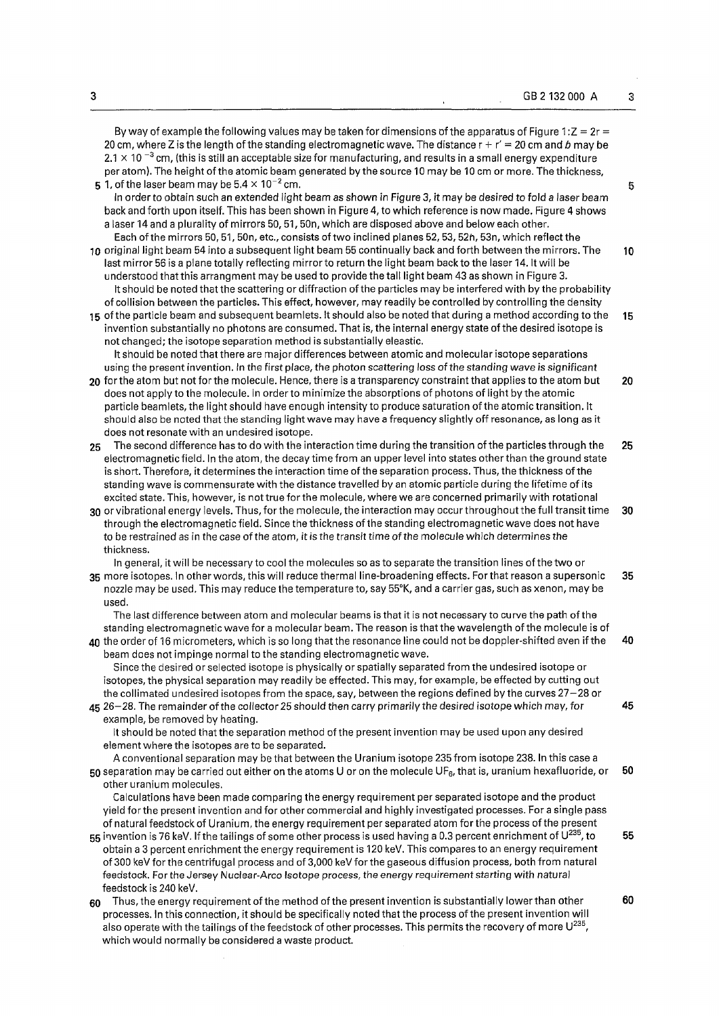|    | By way of example the following values may be taken for dimensions of the apparatus of Figure 1: $Z = 2r$<br>20 cm, where Z is the length of the standing electromagnetic wave. The distance $r + r' = 20$ cm and b may be<br>2.1 $\times$ 10 $^{-3}$ cm, (this is still an acceptable size for manufacturing, and results in a small energy expenditure<br>per atom). The height of the atomic beam generated by the source 10 may be 10 cm or more. The thickness,<br>5 1, of the laser beam may be $5.4 \times 10^{-2}$ cm.<br>In order to obtain such an extended light beam as shown in Figure 3, it may be desired to fold a laser beam                                                                                                                                               | 5  |
|----|---------------------------------------------------------------------------------------------------------------------------------------------------------------------------------------------------------------------------------------------------------------------------------------------------------------------------------------------------------------------------------------------------------------------------------------------------------------------------------------------------------------------------------------------------------------------------------------------------------------------------------------------------------------------------------------------------------------------------------------------------------------------------------------------|----|
|    | back and forth upon itself. This has been shown in Figure 4, to which reference is now made. Figure 4 shows<br>a laser 14 and a plurality of mirrors 50, 51, 50n, which are disposed above and below each other.<br>Each of the mirrors 50, 51, 50n, etc., consists of two inclined planes 52, 53, 52n, 53n, which reflect the<br>10 original light beam 54 into a subsequent light beam 55 continually back and forth between the mirrors. The<br>last mirror 56 is a plane totally reflecting mirror to return the light beam back to the laser 14. It will be<br>understood that this arrangment may be used to provide the tall light beam 43 as shown in Figure 3.<br>It should be noted that the scattering or diffraction of the particles may be interfered with by the probability | 10 |
|    | of collision between the particles. This effect, however, may readily be controlled by controlling the density<br>15 of the particle beam and subsequent beamlets. It should also be noted that during a method according to the<br>invention substantially no photons are consumed. That is, the internal energy state of the desired isotope is<br>not changed; the isotope separation method is substantially eleastic.                                                                                                                                                                                                                                                                                                                                                                  | 15 |
|    | It should be noted that there are major differences between atomic and molecular isotope separations<br>using the present invention. In the first place, the photon scattering loss of the standing wave is significant<br>20 for the atom but not for the molecule. Hence, there is a transparency constraint that applies to the atom but<br>does not apply to the molecule. In order to minimize the absorptions of photons of light by the atomic<br>particle beamlets, the light should have enough intensity to produce saturation of the atomic transition. It<br>should also be noted that the standing light wave may have a frequency slightly off resonance, as long as it                                                                                                       | 20 |
| 25 | does not resonate with an undesired isotope.<br>The second difference has to do with the interaction time during the transition of the particles through the<br>electromagnetic field. In the atom, the decay time from an upper level into states other than the ground state<br>is short. Therefore, it determines the interaction time of the separation process. Thus, the thickness of the                                                                                                                                                                                                                                                                                                                                                                                             | 25 |
|    | standing wave is commensurate with the distance travelled by an atomic particle during the lifetime of its<br>excited state. This, however, is not true for the molecule, where we are concerned primarily with rotational<br>30 or vibrational energy levels. Thus, for the molecule, the interaction may occur throughout the full transit time<br>through the electromagnetic field. Since the thickness of the standing electromagnetic wave does not have<br>to be restrained as in the case of the atom, it is the transit time of the molecule which determines the<br>thickness.                                                                                                                                                                                                    | 30 |
|    | In general, it will be necessary to cool the molecules so as to separate the transition lines of the two or<br>35 more isotopes. In other words, this will reduce thermal line-broadening effects. For that reason a supersonic<br>nozzle may be used. This may reduce the temperature to, say 55°K, and a carrier gas, such as xenon, may be<br>used.                                                                                                                                                                                                                                                                                                                                                                                                                                      | 35 |
|    | The last difference between atom and molecular beams is that it is not necessary to curve the path of the<br>standing electromagnetic wave for a molecular beam. The reason is that the wavelength of the molecule is of<br>40 the order of 16 micrometers, which is so long that the resonance line could not be doppler-shifted even if the<br>beam does not impinge normal to the standing electromagnetic wave.                                                                                                                                                                                                                                                                                                                                                                         | 40 |
|    | Since the desired or selected isotope is physically or spatially separated from the undesired isotope or<br>isotopes, the physical separation may readily be effected. This may, for example, be effected by cutting out<br>the collimated undesired isotopes from the space, say, between the regions defined by the curves 27-28 or<br>45 26-28. The remainder of the collector 25 should then carry primarily the desired isotope which may, for<br>example, be removed by heating.                                                                                                                                                                                                                                                                                                      | 45 |
|    | It should be noted that the separation method of the present invention may be used upon any desired<br>element where the isotopes are to be separated.<br>A conventional separation may be that between the Uranium isotope 235 from isotope 238. In this case a<br>50 separation may be carried out either on the atoms U or on the molecule $UF_6$ , that is, uranium hexafluoride, or<br>other uranium molecules.                                                                                                                                                                                                                                                                                                                                                                        | 50 |
|    | Calculations have been made comparing the energy requirement per separated isotope and the product<br>yield for the present invention and for other commercial and highly investigated processes. For a single pass<br>of natural feedstock of Uranium, the energy requirement per separated atom for the process of the present<br>55 invention is 76 keV. If the tailings of some other process is used having a 0.3 percent enrichment of $U^{235}$ , to<br>obtain a 3 percent enrichment the energy requirement is 120 keV. This compares to an energy requirement<br>of 300 keV for the centrifugal process and of 3,000 keV for the gaseous diffusion process, both from natural                                                                                                      | 55 |
| 60 | feedstock. For the Jersey Nuclear-Arco Isotope process, the energy requirement starting with natural<br>feedstock is 240 keV.<br>Thus, the energy requirement of the method of the present invention is substantially lower than other<br>processes. In this connection, it should be specifically noted that the process of the present invention will<br>also operate with the tailings of the feedstock of other processes. This permits the recovery of more $U^{235}$ ,<br>which would normally be considered a waste product.                                                                                                                                                                                                                                                         | 60 |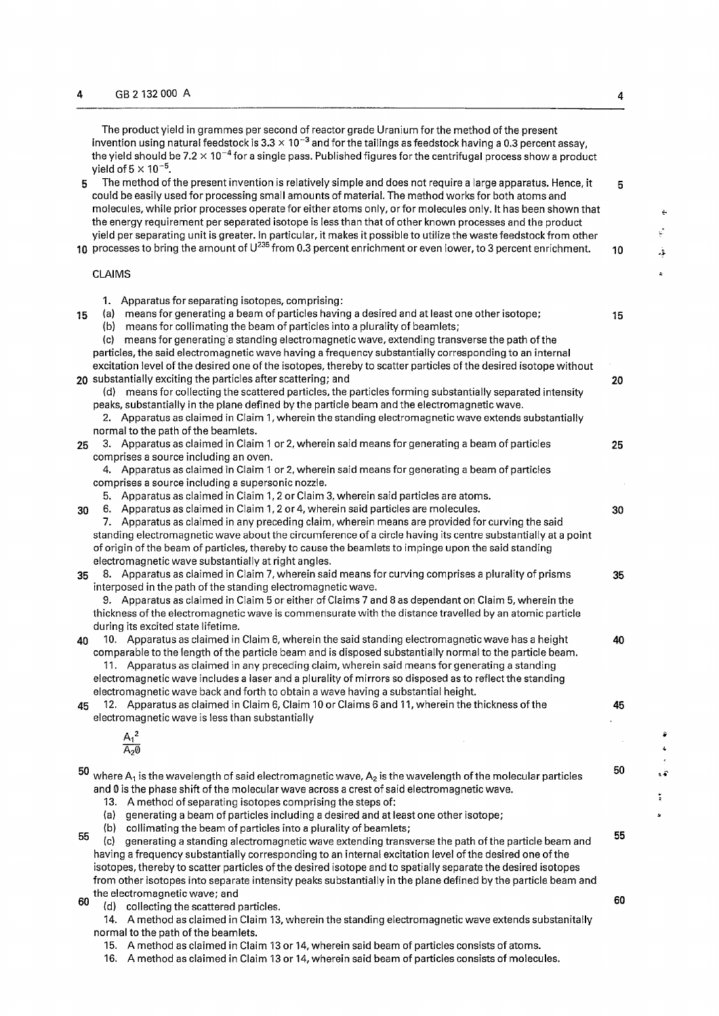The product yield in grammes per second of reactor grade Uranium for the method of the present invention using natural feedstock is 3.3  $\times$  10 $^{-3}$  and for the tailings as feedstock having a 0.3 percent assay, the yield should be 7.2  $\times$  10 $^{-4}$  for a single pass. Published figures for the centrifugal process show a product yield of 5  $\times$  10  $^{-5}$ . 5 The method of the present invention is relatively simple and does not require a large apparatus. Hence, it 5 could be easily used for processing small amounts of material. The method works for both atoms and molecules, while prior processes operate for either atoms only, or for molecules only. It has been shown that the energy requirement per separated isotope is less than that of other known processes and the product yield per separating unit is greater. In particular, it makes it possible to utilize the waste feedstock from other 10 processes to bring the amount of  $U^{235}$  from 0.3 percent enrichment or even lower, to 3 percent enrichment.  $10$ CLAIMS 1. Apparatus for separating isotopes, comprising: 15 (a) means for generating a beam of particles having a desired and at least one other isotope; 15 (b) means for collimating the beam of particles into a plurality of beamlets; (c) means for generating a standing electromagnetic wave, extending transverse the path of the particles, the said electromagnetic wave having a frequency substantially corresponding to an internal excitation level of the desired one of the isotopes, thereby to scatter particles of the desired isotope without  $20$  substantially exciting the particles after scattering; and  $20$ (d) means for collecting the scattered particles, the particles forming substantially separated intensity peaks, substantially in the plane defined by the particle beam and the electromagnetic wave. 2. Apparatus as claimed in Claim 1, wherein the standing electromagnetic wave extends substantially normal to the path of the beamlets. **25** 3. Apparatus as claimed in Claim 1 or 2, wherein said means for generating a beam of particles **25**  comprises a source including an oven. 4. Apparatus as claimed in Claim 1 or 2, wherein said means for generating a beam of particles comprises a source including a supersonic nozzle. 5. Apparatus as claimed in Claim 1,2 or Claim 3, wherein said particles are atoms. 30 6. Apparatus as claimed in Claim 1,2 or 4, wherein said particles are molecules. 30 7. Apparatus as claimed in any preceding claim, wherein means are provided for curving the said standing electromagnetic wave about the circumference of a circle having its centre substantially at a point of origin of the beam of particles, thereby to cause the beamlets to impinge upon the said standing electromagnetic wave substantially at right angles. 35 8. Apparatus as claimed in Claim 7, wherein said means for curving comprises a plurality of prisms 35 interposed in the path of the standing electromagnetic wave. 9. Apparatus as claimed in Claim 5 or either of Claims 7 and 8 as dependant on Claim 5, wherein the thickness of the electromagnetic wave is commensurate with the distance travelled by an atomic particle during its excited state lifetime. **40** 10. Apparatus as claimed in Claim 6, wherein the said standing electromagnetic wave has a height **40**  comparable to the length of the particle beam and is disposed substantially normal to the particle beam. 11. Apparatus as claimed in any preceding claim, wherein said means for generating a standing electromagnetic wave includes a laser and a plurality of mirrors so disposed as to reflect the standing electromagnetic wave back and forth to obtain a wave having a substantial height. 45 12. Apparatus as claimed in Claim 6, Claim 10 or Claims 6 and 11, wherein the thickness of the 45 electromagnetic wave is less than substantially  $\frac{A_1^-}{\cdots}$  $\mathsf A_2\mathsf 0$ 50  $50$  where  $A_1$  is the wavelength of said electromagnetic wave,  $A_2$  is the wavelength of the molecular particles and  $\theta$  is the phase shift of the molecular wave across a crest of said electromagnetic wave. 13. A method of separating isotopes comprising the steps of: (a) generating a beam of particles including a desired and at least one other isotope; (b) collimating the beam of particles into a plurality of beamlets; 55 55 (c) generating a standing alectromagnetic wave extending transverse the path ofthe particle beam and having a frequency substantially corresponding to an internal excitation level ofthe desired one ofthe isotopes, thereby to scatter particles of the desired isotope and to spatially separate the desired isotopes from other isotopes into separate intensity peaks substantially in the plane defined by the particle beam and

the electromagnetic wave; and  $\begin{array}{c} \text{(1)} \\ \text{(2)} \end{array}$ 60 (d) collecting the scattered particles.

14. A method as claimed in Claim 13, wherein the standing electromagnetic wave extends substanitally normal to the path of the beamlets.

15. A method as claimed in Claim 13 or 14, wherein said beam of particles consists of atoms.

16. A method as claimed in Claim 13 or 14, wherein said beam of particles consists of molecules.

÷  $\mathcal{L}$ ۇ.

 $\overline{1}$ 

ز.<br>•

 $\frac{4}{3}$